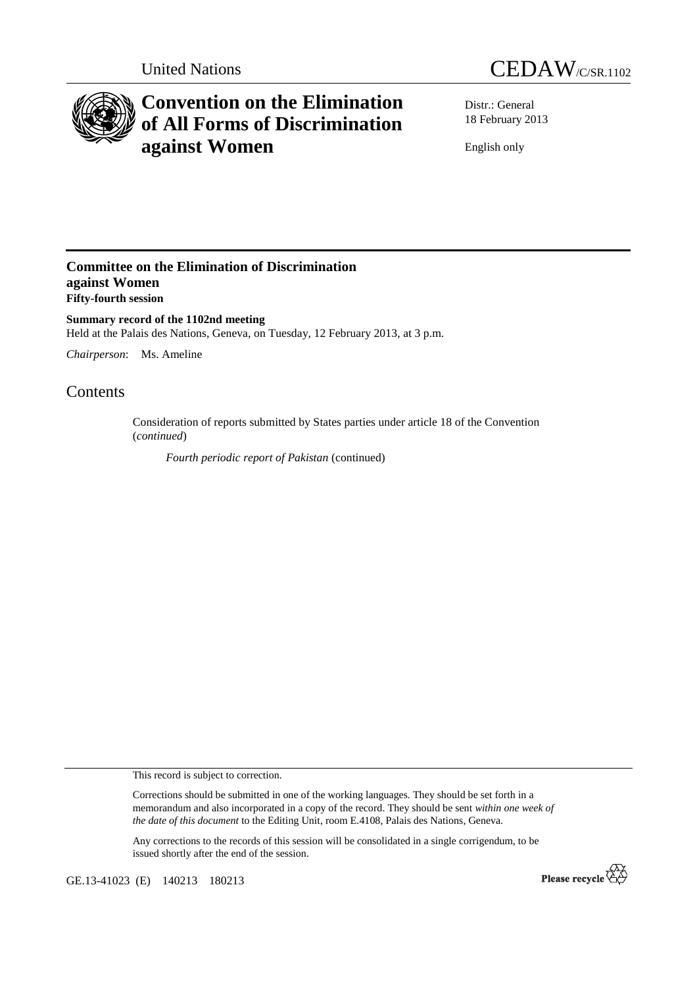



# **Convention on the Elimination of All Forms of Discrimination against Women**

Distr.: General 18 February 2013

English only

### **Committee on the Elimination of Discrimination against Women Fifty-fourth session**

**Summary record of the 1102nd meeting**  Held at the Palais des Nations, Geneva, on Tuesday, 12 February 2013, at 3 p.m.

*Chairperson*: Ms. Ameline

## Contents

Consideration of reports submitted by States parties under article 18 of the Convention (*continued*)

*Fourth periodic report of Pakistan* (continued)

This record is subject to correction.

Corrections should be submitted in one of the working languages. They should be set forth in a memorandum and also incorporated in a copy of the record. They should be sent *within one week of the date of this document* to the Editing Unit, room E.4108, Palais des Nations, Geneva.

Any corrections to the records of this session will be consolidated in a single corrigendum, to be issued shortly after the end of the session.

GE.13-41023 (E) 140213 180213

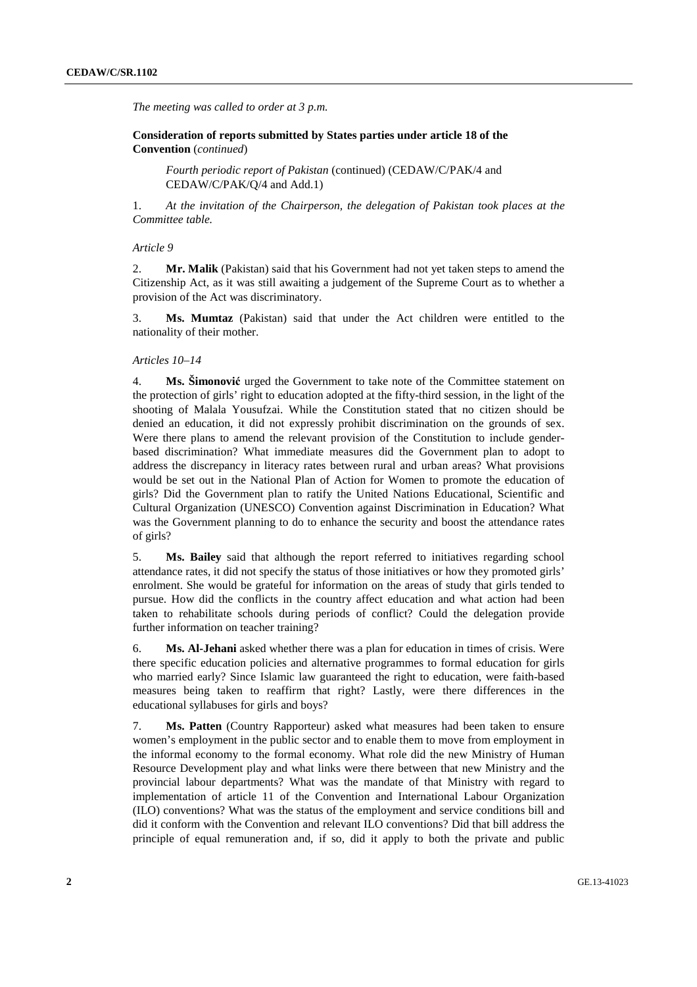*The meeting was called to order at 3 p.m.* 

 **Consideration of reports submitted by States parties under article 18 of the Convention** (*continued*)

*Fourth periodic report of Pakistan* (continued) (CEDAW/C/PAK/4 and CEDAW/C/PAK/Q/4 and Add.1)

1. *At the invitation of the Chairperson, the delegation of Pakistan took places at the Committee table.* 

#### *Article 9*

2. **Mr. Malik** (Pakistan) said that his Government had not yet taken steps to amend the Citizenship Act, as it was still awaiting a judgement of the Supreme Court as to whether a provision of the Act was discriminatory.

3. **Ms. Mumtaz** (Pakistan) said that under the Act children were entitled to the nationality of their mother.

#### *Articles 10–14*

4. **Ms. Šimonović** urged the Government to take note of the Committee statement on the protection of girls' right to education adopted at the fifty-third session, in the light of the shooting of Malala Yousufzai. While the Constitution stated that no citizen should be denied an education, it did not expressly prohibit discrimination on the grounds of sex. Were there plans to amend the relevant provision of the Constitution to include genderbased discrimination? What immediate measures did the Government plan to adopt to address the discrepancy in literacy rates between rural and urban areas? What provisions would be set out in the National Plan of Action for Women to promote the education of girls? Did the Government plan to ratify the United Nations Educational, Scientific and Cultural Organization (UNESCO) Convention against Discrimination in Education? What was the Government planning to do to enhance the security and boost the attendance rates of girls?

5. **Ms. Bailey** said that although the report referred to initiatives regarding school attendance rates, it did not specify the status of those initiatives or how they promoted girls' enrolment. She would be grateful for information on the areas of study that girls tended to pursue. How did the conflicts in the country affect education and what action had been taken to rehabilitate schools during periods of conflict? Could the delegation provide further information on teacher training?

6. **Ms. Al-Jehani** asked whether there was a plan for education in times of crisis. Were there specific education policies and alternative programmes to formal education for girls who married early? Since Islamic law guaranteed the right to education, were faith-based measures being taken to reaffirm that right? Lastly, were there differences in the educational syllabuses for girls and boys?

7. **Ms. Patten** (Country Rapporteur) asked what measures had been taken to ensure women's employment in the public sector and to enable them to move from employment in the informal economy to the formal economy. What role did the new Ministry of Human Resource Development play and what links were there between that new Ministry and the provincial labour departments? What was the mandate of that Ministry with regard to implementation of article 11 of the Convention and International Labour Organization (ILO) conventions? What was the status of the employment and service conditions bill and did it conform with the Convention and relevant ILO conventions? Did that bill address the principle of equal remuneration and, if so, did it apply to both the private and public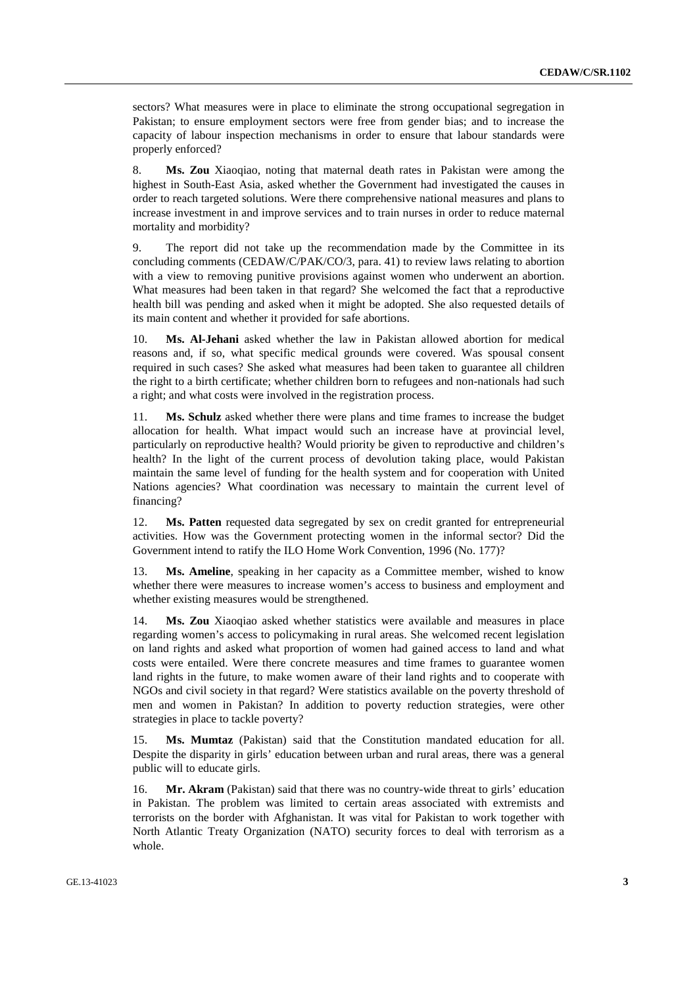sectors? What measures were in place to eliminate the strong occupational segregation in Pakistan; to ensure employment sectors were free from gender bias; and to increase the capacity of labour inspection mechanisms in order to ensure that labour standards were properly enforced?

8. **Ms. Zou** Xiaoqiao, noting that maternal death rates in Pakistan were among the highest in South-East Asia, asked whether the Government had investigated the causes in order to reach targeted solutions. Were there comprehensive national measures and plans to increase investment in and improve services and to train nurses in order to reduce maternal mortality and morbidity?

9. The report did not take up the recommendation made by the Committee in its concluding comments (CEDAW/C/PAK/CO/3, para. 41) to review laws relating to abortion with a view to removing punitive provisions against women who underwent an abortion. What measures had been taken in that regard? She welcomed the fact that a reproductive health bill was pending and asked when it might be adopted. She also requested details of its main content and whether it provided for safe abortions.

**Ms. Al-Jehani** asked whether the law in Pakistan allowed abortion for medical reasons and, if so, what specific medical grounds were covered. Was spousal consent required in such cases? She asked what measures had been taken to guarantee all children the right to a birth certificate; whether children born to refugees and non-nationals had such a right; and what costs were involved in the registration process.

11. **Ms. Schulz** asked whether there were plans and time frames to increase the budget allocation for health. What impact would such an increase have at provincial level, particularly on reproductive health? Would priority be given to reproductive and children's health? In the light of the current process of devolution taking place, would Pakistan maintain the same level of funding for the health system and for cooperation with United Nations agencies? What coordination was necessary to maintain the current level of financing?

12. **Ms. Patten** requested data segregated by sex on credit granted for entrepreneurial activities. How was the Government protecting women in the informal sector? Did the Government intend to ratify the ILO Home Work Convention, 1996 (No. 177)?

13. **Ms. Ameline**, speaking in her capacity as a Committee member, wished to know whether there were measures to increase women's access to business and employment and whether existing measures would be strengthened.

14. **Ms. Zou** Xiaoqiao asked whether statistics were available and measures in place regarding women's access to policymaking in rural areas. She welcomed recent legislation on land rights and asked what proportion of women had gained access to land and what costs were entailed. Were there concrete measures and time frames to guarantee women land rights in the future, to make women aware of their land rights and to cooperate with NGOs and civil society in that regard? Were statistics available on the poverty threshold of men and women in Pakistan? In addition to poverty reduction strategies, were other strategies in place to tackle poverty?

15. **Ms. Mumtaz** (Pakistan) said that the Constitution mandated education for all. Despite the disparity in girls' education between urban and rural areas, there was a general public will to educate girls.

16. **Mr. Akram** (Pakistan) said that there was no country-wide threat to girls' education in Pakistan. The problem was limited to certain areas associated with extremists and terrorists on the border with Afghanistan. It was vital for Pakistan to work together with North Atlantic Treaty Organization (NATO) security forces to deal with terrorism as a whole.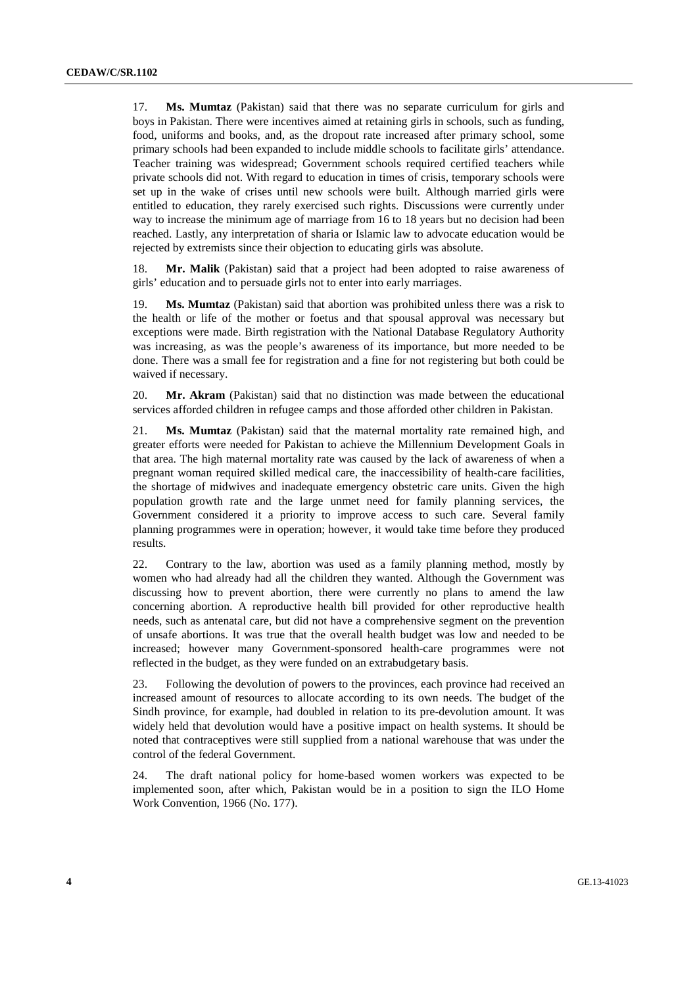17. **Ms. Mumtaz** (Pakistan) said that there was no separate curriculum for girls and boys in Pakistan. There were incentives aimed at retaining girls in schools, such as funding, food, uniforms and books, and, as the dropout rate increased after primary school, some primary schools had been expanded to include middle schools to facilitate girls' attendance. Teacher training was widespread; Government schools required certified teachers while private schools did not. With regard to education in times of crisis, temporary schools were set up in the wake of crises until new schools were built. Although married girls were entitled to education, they rarely exercised such rights. Discussions were currently under way to increase the minimum age of marriage from 16 to 18 years but no decision had been reached. Lastly, any interpretation of sharia or Islamic law to advocate education would be rejected by extremists since their objection to educating girls was absolute.

18. **Mr. Malik** (Pakistan) said that a project had been adopted to raise awareness of girls' education and to persuade girls not to enter into early marriages.

19. **Ms. Mumtaz** (Pakistan) said that abortion was prohibited unless there was a risk to the health or life of the mother or foetus and that spousal approval was necessary but exceptions were made. Birth registration with the National Database Regulatory Authority was increasing, as was the people's awareness of its importance, but more needed to be done. There was a small fee for registration and a fine for not registering but both could be waived if necessary.

20. **Mr. Akram** (Pakistan) said that no distinction was made between the educational services afforded children in refugee camps and those afforded other children in Pakistan.

21. **Ms. Mumtaz** (Pakistan) said that the maternal mortality rate remained high, and greater efforts were needed for Pakistan to achieve the Millennium Development Goals in that area. The high maternal mortality rate was caused by the lack of awareness of when a pregnant woman required skilled medical care, the inaccessibility of health-care facilities, the shortage of midwives and inadequate emergency obstetric care units. Given the high population growth rate and the large unmet need for family planning services, the Government considered it a priority to improve access to such care. Several family planning programmes were in operation; however, it would take time before they produced results.

22. Contrary to the law, abortion was used as a family planning method, mostly by women who had already had all the children they wanted. Although the Government was discussing how to prevent abortion, there were currently no plans to amend the law concerning abortion. A reproductive health bill provided for other reproductive health needs, such as antenatal care, but did not have a comprehensive segment on the prevention of unsafe abortions. It was true that the overall health budget was low and needed to be increased; however many Government-sponsored health-care programmes were not reflected in the budget, as they were funded on an extrabudgetary basis.

23. Following the devolution of powers to the provinces, each province had received an increased amount of resources to allocate according to its own needs. The budget of the Sindh province, for example, had doubled in relation to its pre-devolution amount. It was widely held that devolution would have a positive impact on health systems. It should be noted that contraceptives were still supplied from a national warehouse that was under the control of the federal Government.

24. The draft national policy for home-based women workers was expected to be implemented soon, after which, Pakistan would be in a position to sign the ILO Home Work Convention, 1966 (No. 177).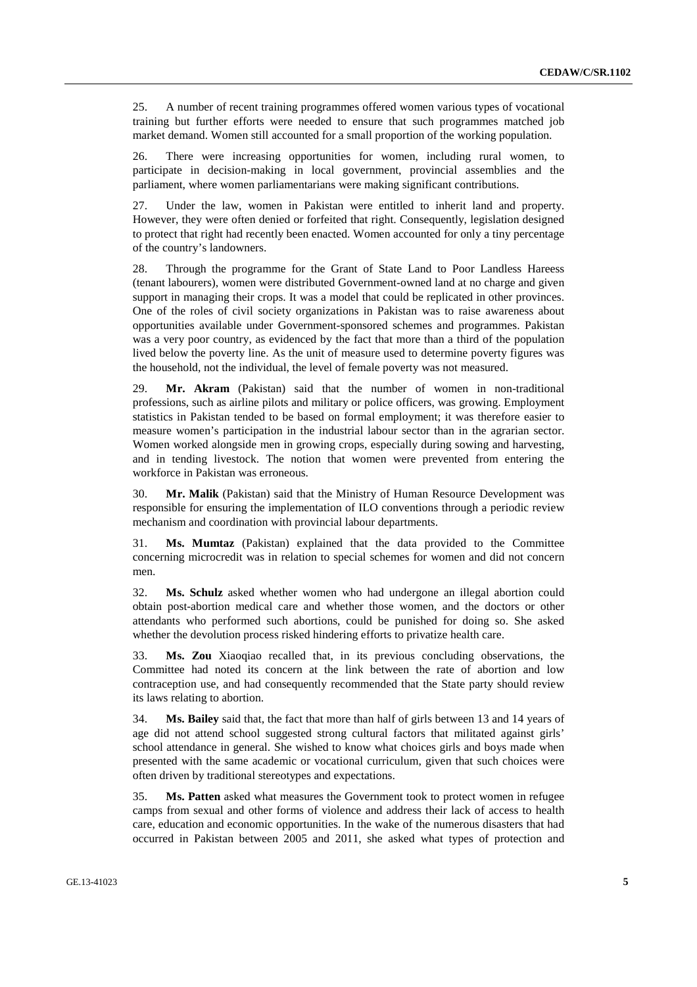25. A number of recent training programmes offered women various types of vocational training but further efforts were needed to ensure that such programmes matched job market demand. Women still accounted for a small proportion of the working population.

26. There were increasing opportunities for women, including rural women, to participate in decision-making in local government, provincial assemblies and the parliament, where women parliamentarians were making significant contributions.

27. Under the law, women in Pakistan were entitled to inherit land and property. However, they were often denied or forfeited that right. Consequently, legislation designed to protect that right had recently been enacted. Women accounted for only a tiny percentage of the country's landowners.

28. Through the programme for the Grant of State Land to Poor Landless Hareess (tenant labourers), women were distributed Government-owned land at no charge and given support in managing their crops. It was a model that could be replicated in other provinces. One of the roles of civil society organizations in Pakistan was to raise awareness about opportunities available under Government-sponsored schemes and programmes. Pakistan was a very poor country, as evidenced by the fact that more than a third of the population lived below the poverty line. As the unit of measure used to determine poverty figures was the household, not the individual, the level of female poverty was not measured.

29. **Mr. Akram** (Pakistan) said that the number of women in non-traditional professions, such as airline pilots and military or police officers, was growing. Employment statistics in Pakistan tended to be based on formal employment; it was therefore easier to measure women's participation in the industrial labour sector than in the agrarian sector. Women worked alongside men in growing crops, especially during sowing and harvesting, and in tending livestock. The notion that women were prevented from entering the workforce in Pakistan was erroneous.

30. **Mr. Malik** (Pakistan) said that the Ministry of Human Resource Development was responsible for ensuring the implementation of ILO conventions through a periodic review mechanism and coordination with provincial labour departments.

31. **Ms. Mumtaz** (Pakistan) explained that the data provided to the Committee concerning microcredit was in relation to special schemes for women and did not concern men.

32. **Ms. Schulz** asked whether women who had undergone an illegal abortion could obtain post-abortion medical care and whether those women, and the doctors or other attendants who performed such abortions, could be punished for doing so. She asked whether the devolution process risked hindering efforts to privatize health care.

33. **Ms. Zou** Xiaoqiao recalled that, in its previous concluding observations, the Committee had noted its concern at the link between the rate of abortion and low contraception use, and had consequently recommended that the State party should review its laws relating to abortion.

34. **Ms. Bailey** said that, the fact that more than half of girls between 13 and 14 years of age did not attend school suggested strong cultural factors that militated against girls' school attendance in general. She wished to know what choices girls and boys made when presented with the same academic or vocational curriculum, given that such choices were often driven by traditional stereotypes and expectations.

35. **Ms. Patten** asked what measures the Government took to protect women in refugee camps from sexual and other forms of violence and address their lack of access to health care, education and economic opportunities. In the wake of the numerous disasters that had occurred in Pakistan between 2005 and 2011, she asked what types of protection and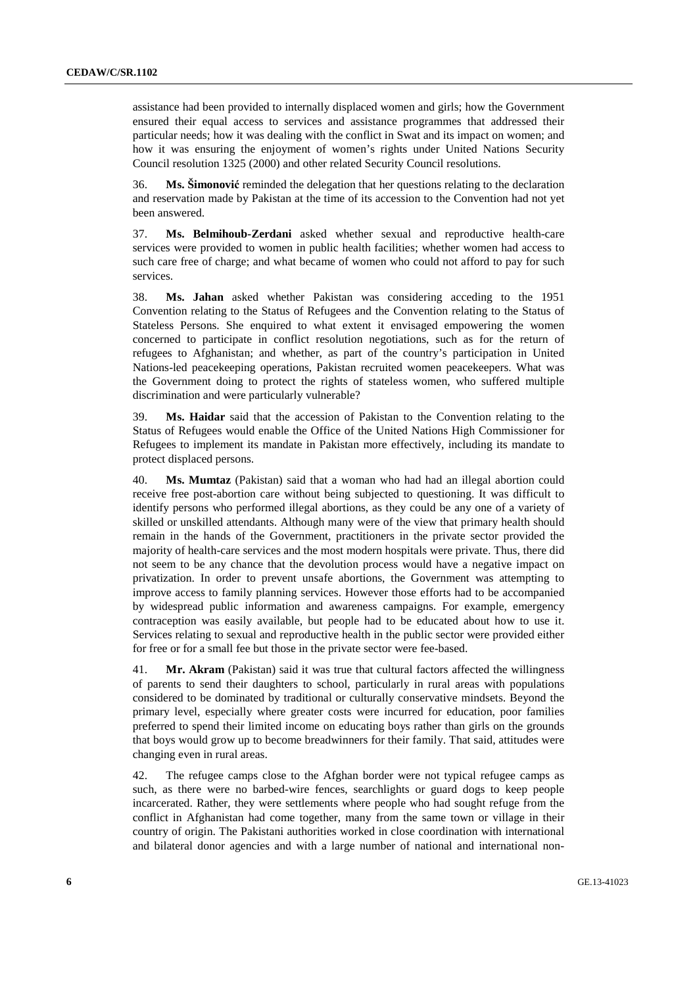assistance had been provided to internally displaced women and girls; how the Government ensured their equal access to services and assistance programmes that addressed their particular needs; how it was dealing with the conflict in Swat and its impact on women; and how it was ensuring the enjoyment of women's rights under United Nations Security Council resolution 1325 (2000) and other related Security Council resolutions.

36. **Ms. Šimonović** reminded the delegation that her questions relating to the declaration and reservation made by Pakistan at the time of its accession to the Convention had not yet been answered.

37. **Ms. Belmihoub-Zerdani** asked whether sexual and reproductive health-care services were provided to women in public health facilities; whether women had access to such care free of charge; and what became of women who could not afford to pay for such services.

38. **Ms. Jahan** asked whether Pakistan was considering acceding to the 1951 Convention relating to the Status of Refugees and the Convention relating to the Status of Stateless Persons. She enquired to what extent it envisaged empowering the women concerned to participate in conflict resolution negotiations, such as for the return of refugees to Afghanistan; and whether, as part of the country's participation in United Nations-led peacekeeping operations, Pakistan recruited women peacekeepers. What was the Government doing to protect the rights of stateless women, who suffered multiple discrimination and were particularly vulnerable?

39. **Ms. Haidar** said that the accession of Pakistan to the Convention relating to the Status of Refugees would enable the Office of the United Nations High Commissioner for Refugees to implement its mandate in Pakistan more effectively, including its mandate to protect displaced persons.

40. **Ms. Mumtaz** (Pakistan) said that a woman who had had an illegal abortion could receive free post-abortion care without being subjected to questioning. It was difficult to identify persons who performed illegal abortions, as they could be any one of a variety of skilled or unskilled attendants. Although many were of the view that primary health should remain in the hands of the Government, practitioners in the private sector provided the majority of health-care services and the most modern hospitals were private. Thus, there did not seem to be any chance that the devolution process would have a negative impact on privatization. In order to prevent unsafe abortions, the Government was attempting to improve access to family planning services. However those efforts had to be accompanied by widespread public information and awareness campaigns. For example, emergency contraception was easily available, but people had to be educated about how to use it. Services relating to sexual and reproductive health in the public sector were provided either for free or for a small fee but those in the private sector were fee-based.

41. **Mr. Akram** (Pakistan) said it was true that cultural factors affected the willingness of parents to send their daughters to school, particularly in rural areas with populations considered to be dominated by traditional or culturally conservative mindsets. Beyond the primary level, especially where greater costs were incurred for education, poor families preferred to spend their limited income on educating boys rather than girls on the grounds that boys would grow up to become breadwinners for their family. That said, attitudes were changing even in rural areas.

42. The refugee camps close to the Afghan border were not typical refugee camps as such, as there were no barbed-wire fences, searchlights or guard dogs to keep people incarcerated. Rather, they were settlements where people who had sought refuge from the conflict in Afghanistan had come together, many from the same town or village in their country of origin. The Pakistani authorities worked in close coordination with international and bilateral donor agencies and with a large number of national and international non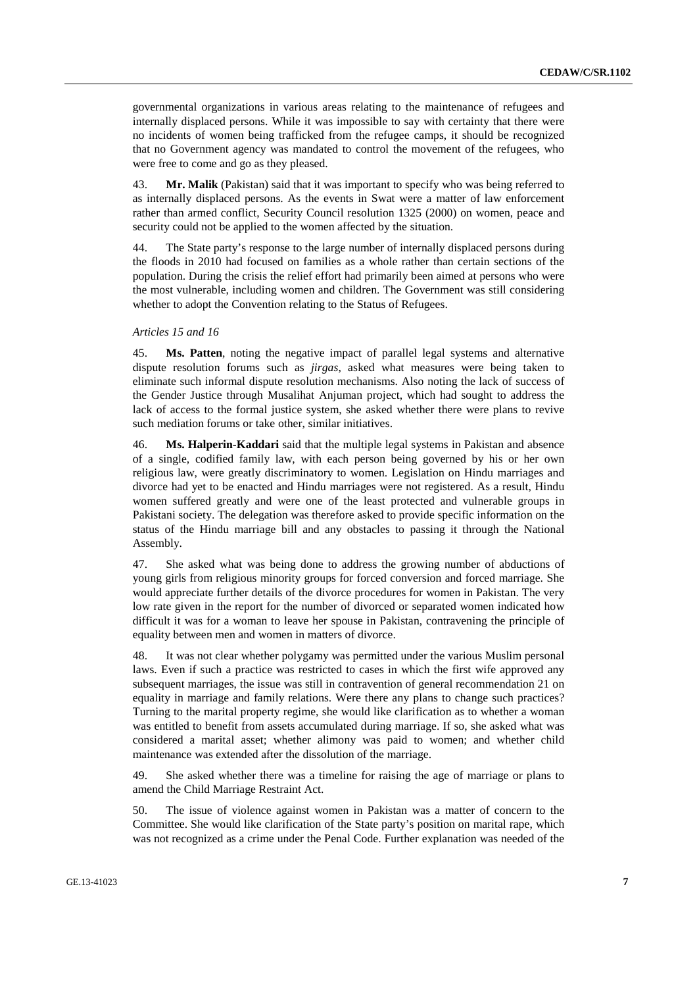governmental organizations in various areas relating to the maintenance of refugees and internally displaced persons. While it was impossible to say with certainty that there were no incidents of women being trafficked from the refugee camps, it should be recognized that no Government agency was mandated to control the movement of the refugees, who were free to come and go as they pleased.

43. **Mr. Malik** (Pakistan) said that it was important to specify who was being referred to as internally displaced persons. As the events in Swat were a matter of law enforcement rather than armed conflict, Security Council resolution 1325 (2000) on women, peace and security could not be applied to the women affected by the situation.

44. The State party's response to the large number of internally displaced persons during the floods in 2010 had focused on families as a whole rather than certain sections of the population. During the crisis the relief effort had primarily been aimed at persons who were the most vulnerable, including women and children. The Government was still considering whether to adopt the Convention relating to the Status of Refugees.

#### *Articles 15 and 16*

45. **Ms. Patten**, noting the negative impact of parallel legal systems and alternative dispute resolution forums such as *jirgas*, asked what measures were being taken to eliminate such informal dispute resolution mechanisms. Also noting the lack of success of the Gender Justice through Musalihat Anjuman project, which had sought to address the lack of access to the formal justice system, she asked whether there were plans to revive such mediation forums or take other, similar initiatives.

46. **Ms. Halperin-Kaddari** said that the multiple legal systems in Pakistan and absence of a single, codified family law, with each person being governed by his or her own religious law, were greatly discriminatory to women. Legislation on Hindu marriages and divorce had yet to be enacted and Hindu marriages were not registered. As a result, Hindu women suffered greatly and were one of the least protected and vulnerable groups in Pakistani society. The delegation was therefore asked to provide specific information on the status of the Hindu marriage bill and any obstacles to passing it through the National Assembly.

47. She asked what was being done to address the growing number of abductions of young girls from religious minority groups for forced conversion and forced marriage. She would appreciate further details of the divorce procedures for women in Pakistan. The very low rate given in the report for the number of divorced or separated women indicated how difficult it was for a woman to leave her spouse in Pakistan, contravening the principle of equality between men and women in matters of divorce.

48. It was not clear whether polygamy was permitted under the various Muslim personal laws. Even if such a practice was restricted to cases in which the first wife approved any subsequent marriages, the issue was still in contravention of general recommendation 21 on equality in marriage and family relations. Were there any plans to change such practices? Turning to the marital property regime, she would like clarification as to whether a woman was entitled to benefit from assets accumulated during marriage. If so, she asked what was considered a marital asset; whether alimony was paid to women; and whether child maintenance was extended after the dissolution of the marriage.

49. She asked whether there was a timeline for raising the age of marriage or plans to amend the Child Marriage Restraint Act.

50. The issue of violence against women in Pakistan was a matter of concern to the Committee. She would like clarification of the State party's position on marital rape, which was not recognized as a crime under the Penal Code. Further explanation was needed of the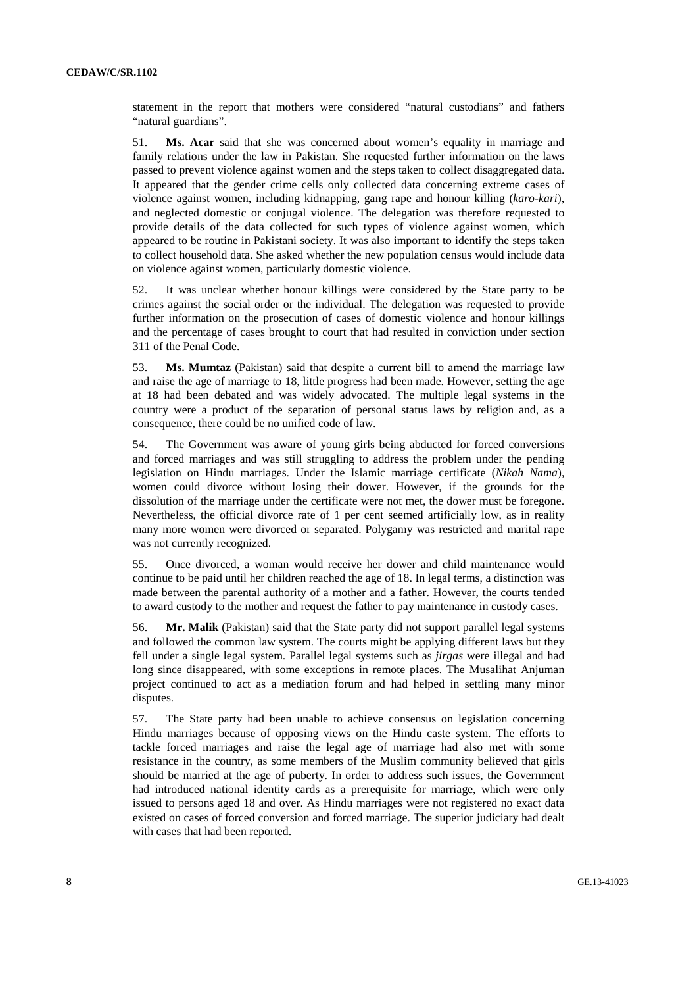statement in the report that mothers were considered "natural custodians" and fathers "natural guardians".

51. **Ms. Acar** said that she was concerned about women's equality in marriage and family relations under the law in Pakistan. She requested further information on the laws passed to prevent violence against women and the steps taken to collect disaggregated data. It appeared that the gender crime cells only collected data concerning extreme cases of violence against women, including kidnapping, gang rape and honour killing (*karo-kari*), and neglected domestic or conjugal violence. The delegation was therefore requested to provide details of the data collected for such types of violence against women, which appeared to be routine in Pakistani society. It was also important to identify the steps taken to collect household data. She asked whether the new population census would include data on violence against women, particularly domestic violence.

52. It was unclear whether honour killings were considered by the State party to be crimes against the social order or the individual. The delegation was requested to provide further information on the prosecution of cases of domestic violence and honour killings and the percentage of cases brought to court that had resulted in conviction under section 311 of the Penal Code.

53. **Ms. Mumtaz** (Pakistan) said that despite a current bill to amend the marriage law and raise the age of marriage to 18, little progress had been made. However, setting the age at 18 had been debated and was widely advocated. The multiple legal systems in the country were a product of the separation of personal status laws by religion and, as a consequence, there could be no unified code of law.

54. The Government was aware of young girls being abducted for forced conversions and forced marriages and was still struggling to address the problem under the pending legislation on Hindu marriages. Under the Islamic marriage certificate (*Nikah Nama*), women could divorce without losing their dower. However, if the grounds for the dissolution of the marriage under the certificate were not met, the dower must be foregone. Nevertheless, the official divorce rate of 1 per cent seemed artificially low, as in reality many more women were divorced or separated. Polygamy was restricted and marital rape was not currently recognized.

55. Once divorced, a woman would receive her dower and child maintenance would continue to be paid until her children reached the age of 18. In legal terms, a distinction was made between the parental authority of a mother and a father. However, the courts tended to award custody to the mother and request the father to pay maintenance in custody cases.

56. **Mr. Malik** (Pakistan) said that the State party did not support parallel legal systems and followed the common law system. The courts might be applying different laws but they fell under a single legal system. Parallel legal systems such as *jirgas* were illegal and had long since disappeared, with some exceptions in remote places. The Musalihat Anjuman project continued to act as a mediation forum and had helped in settling many minor disputes.

57. The State party had been unable to achieve consensus on legislation concerning Hindu marriages because of opposing views on the Hindu caste system. The efforts to tackle forced marriages and raise the legal age of marriage had also met with some resistance in the country, as some members of the Muslim community believed that girls should be married at the age of puberty. In order to address such issues, the Government had introduced national identity cards as a prerequisite for marriage, which were only issued to persons aged 18 and over. As Hindu marriages were not registered no exact data existed on cases of forced conversion and forced marriage. The superior judiciary had dealt with cases that had been reported.